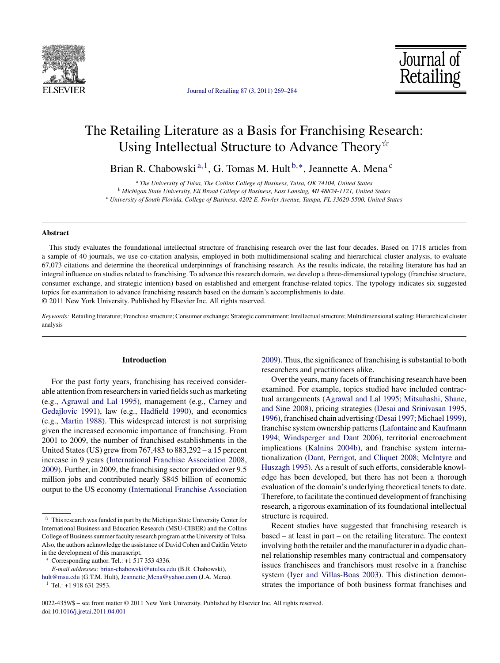

[Journal of Retailing 87 \(3, 2011\) 269–284](dx.doi.org/10.1016/j.jretai.2011.04.001)

Journal of Retailing

# The Retailing Literature as a Basis for Franchising Research: Using Intellectual Structure to Advance Theory $\dot{\mathbb{X}}$

Brian R. Chabowski<sup>a, 1</sup>, G. Tomas M. Hult<sup>b,\*</sup>, Jeannette A. Mena<sup>c</sup>

<sup>a</sup> *The University of Tulsa, The Collins College of Business, Tulsa, OK 74104, United States* <sup>b</sup> *Michigan State University, Eli Broad College of Business, East Lansing, MI 48824-1121, United States* <sup>c</sup> *University of South Florida, College of Business, 4202 E. Fowler Avenue, Tampa, FL 33620-5500, United States*

#### **Abstract**

This study evaluates the foundational intellectual structure of franchising research over the last four decades. Based on 1718 articles from a sample of 40 journals, we use co-citation analysis, employed in both multidimensional scaling and hierarchical cluster analysis, to evaluate 67,073 citations and determine the theoretical underpinnings of franchising research. As the results indicate, the retailing literature has had an integral influence on studies related to franchising. To advance this research domain, we develop a three-dimensional typology (franchise structure, consumer exchange, and strategic intention) based on established and emergent franchise-related topics. The typology indicates six suggested topics for examination to advance franchising research based on the domain's accomplishments to date. © 2011 New York University. Published by Elsevier Inc. All rights reserved.

*Keywords:* Retailing literature; Franchise structure; Consumer exchange; Strategic commitment; Intellectual structure; Multidimensional scaling; Hierarchical cluster analysis

### **Introduction**

For the past forty years, franchising has received considerable attention from researchers in varied fields such as marketing (e.g., [Agrawal and Lal 1995\),](#page--1-0) management (e.g., [Carney and](#page--1-0) [Gedajlovic 1991\),](#page--1-0) law (e.g., [Hadfield 1990\),](#page--1-0) and economics (e.g., [Martin 1988\).](#page--1-0) This widespread interest is not surprising given the increased economic importance of franchising. From 2001 to 2009, the number of franchised establishments in the United States (US) grew from 767,483 to 883,292 – a 15 percent increase in 9 years [\(International Franchise Association 2008,](#page--1-0) [2009\).](#page--1-0) Further, in 2009, the franchising sector provided over 9.5 million jobs and contributed nearly \$845 billion of economic output to the US economy [\(International Franchise Association](#page--1-0)

∗ Corresponding author. Tel.: +1 517 353 4336.

[2009\).](#page--1-0) Thus, the significance of franchising is substantial to both researchers and practitioners alike.

Over the years, many facets of franchising research have been examined. For example, topics studied have included contractual arrangements ([Agrawal and Lal 1995; Mitsuhashi, Shane,](#page--1-0) [and Sine 2008\),](#page--1-0) pricing strategies ([Desai and Srinivasan 1995,](#page--1-0) [1996\),](#page--1-0) franchised chain advertising [\(Desai 1997; Michael 1999\),](#page--1-0) franchise system ownership patterns [\(Lafontaine and Kaufmann](#page--1-0) [1994; Windsperger and Dant 2006\),](#page--1-0) territorial encroachment implications ([Kalnins 2004b\),](#page--1-0) and franchise system internationalization [\(Dant, Perrigot, and Cliquet 2008; McIntyre and](#page--1-0) [Huszagh 1995\).](#page--1-0) As a result of such efforts, considerable knowledge has been developed, but there has not been a thorough evaluation of the domain's underlying theoretical tenets to date. Therefore, to facilitate the continued development of franchising research, a rigorous examination of its foundational intellectual structure is required.

Recent studies have suggested that franchising research is based – at least in part – on the retailing literature. The context involving both the retailer and the manufacturer in a dyadic channel relationship resembles many contractual and compensatory issues franchisees and franchisors must resolve in a franchise system ([Iyer and Villas-Boas 2003\).](#page--1-0) This distinction demonstrates the importance of both business format franchises and

 $\overrightarrow{r}$  This research was funded in part by the Michigan State University Center for International Business and Education Research (MSU-CIBER) and the Collins College of Business summer faculty research program at the University of Tulsa. Also, the authors acknowledge the assistance of David Cohen and Caitlin Veteto in the development of this manuscript.

*E-mail addresses:* [brian-chabowski@utulsa.edu](mailto:brian-chabowski@utulsa.edu) (B.R. Chabowski),

[hult@msu.edu](mailto:hult@msu.edu) (G.T.M. Hult), Jeannette [Mena@yahoo.com](mailto:Jeannette_Mena@yahoo.com) (J.A. Mena).

 $1$  Tel.: +1 918 631 2953.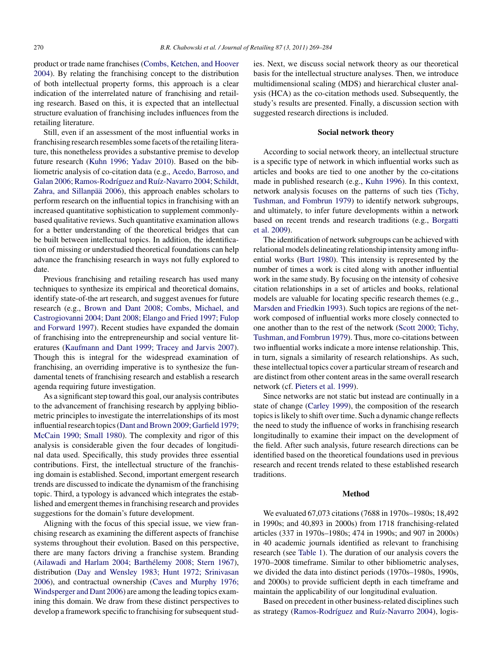product or trade name franchises [\(Combs, Ketchen, and Hoover](#page--1-0) [2004\).](#page--1-0) By relating the franchising concept to the distribution of both intellectual property forms, this approach is a clear indication of the interrelated nature of franchising and retailing research. Based on this, it is expected that an intellectual structure evaluation of franchising includes influences from the retailing literature.

Still, even if an assessment of the most influential works in franchising research resembles some facets of the retailing literature, this nonetheless provides a substantive premise to develop future research [\(Kuhn 1996; Yadav 2010\).](#page--1-0) Based on the bibliometric analysis of co-citation data (e.g., [Acedo, Barroso, and](#page--1-0) [Galan 2006; Ramos-Rodríguez and Ruíz-Navarro 2004; Schildt,](#page--1-0) [Zahra, and Sillanpää 2006\),](#page--1-0) this approach enables scholars to perform research on the influential topics in franchising with an increased quantitative sophistication to supplement commonlybased qualitative reviews. Such quantitative examination allows for a better understanding of the theoretical bridges that can be built between intellectual topics. In addition, the identification of missing or understudied theoretical foundations can help advance the franchising research in ways not fully explored to date.

Previous franchising and retailing research has used many techniques to synthesize its empirical and theoretical domains, identify state-of-the art research, and suggest avenues for future research (e.g., [Brown and Dant 2008; Combs, Michael, and](#page--1-0) [Castrogiovanni 2004; Dant 2008; Elango and Fried 1997; Fulop](#page--1-0) [and Forward 1997\).](#page--1-0) Recent studies have expanded the domain of franchising into the entrepreneurship and social venture literatures [\(Kaufmann and Dant 1999; Tracey and Jarvis 2007\).](#page--1-0) Though this is integral for the widespread examination of franchising, an overriding imperative is to synthesize the fundamental tenets of franchising research and establish a research agenda requiring future investigation.

As a significant step toward this goal, our analysis contributes to the advancement of franchising research by applying bibliometric principles to investigate the interrelationships of its most influential research topics ([Dant and Brown 2009; Garfield 1979;](#page--1-0) [McCain 1990; Small 1980\).](#page--1-0) The complexity and rigor of this analysis is considerable given the four decades of longitudinal data used. Specifically, this study provides three essential contributions. First, the intellectual structure of the franchising domain is established. Second, important emergent research trends are discussed to indicate the dynamism of the franchising topic. Third, a typology is advanced which integrates the established and emergent themes in franchising research and provides suggestions for the domain's future development.

Aligning with the focus of this special issue, we view franchising research as examining the different aspects of franchise systems throughout their evolution. Based on this perspective, there are many factors driving a franchise system. Branding [\(Ailawadi and Harlam 2004; Barthélemy 2008; Stern 1967\),](#page--1-0) distribution [\(Day and Wensley 1983; Hunt 1972; Srinivasan](#page--1-0) [2006\),](#page--1-0) and contractual ownership [\(Caves and Murphy 1976;](#page--1-0) [Windsperger and Dant 2006\) a](#page--1-0)re among the leading topics examining this domain. We draw from these distinct perspectives to develop a framework specific to franchising for subsequent studies. Next, we discuss social network theory as our theoretical basis for the intellectual structure analyses. Then, we introduce multidimensional scaling (MDS) and hierarchical cluster analysis (HCA) as the co-citation methods used. Subsequently, the study's results are presented. Finally, a discussion section with suggested research directions is included.

## **Social network theory**

According to social network theory, an intellectual structure is a specific type of network in which influential works such as articles and books are tied to one another by the co-citations made in published research (e.g., [Kuhn 1996\).](#page--1-0) In this context, network analysis focuses on the patterns of such ties [\(Tichy,](#page--1-0) [Tushman, and Fombrun 1979\)](#page--1-0) to identify network subgroups, and ultimately, to infer future developments within a network based on recent trends and research traditions (e.g., [Borgatti](#page--1-0) [et al. 2009\).](#page--1-0)

The identification of network subgroups can be achieved with relational models delineating relationship intensity among influential works [\(Burt 1980\).](#page--1-0) This intensity is represented by the number of times a work is cited along with another influential work in the same study. By focusing on the intensity of cohesive citation relationships in a set of articles and books, relational models are valuable for locating specific research themes (e.g., [Marsden and Friedkin 1993\).](#page--1-0) Such topics are regions of the network composed of influential works more closely connected to one another than to the rest of the network [\(Scott 2000; Tichy,](#page--1-0) [Tushman, and Fombrun 1979\).](#page--1-0) Thus, more co-citations between two influential works indicate a more intense relationship. This, in turn, signals a similarity of research relationships. As such, these intellectual topics cover a particular stream of research and are distinct from other content areas in the same overall research network (cf. [Pieters et al. 1999\).](#page--1-0)

Since networks are not static but instead are continually in a state of change [\(Carley 1999\),](#page--1-0) the composition of the research topics is likely to shift over time. Such a dynamic change reflects the need to study the influence of works in franchising research longitudinally to examine their impact on the development of the field. After such analysis, future research directions can be identified based on the theoretical foundations used in previous research and recent trends related to these established research traditions.

### **Method**

We evaluated 67,073 citations (7688 in 1970s–1980s; 18,492 in 1990s; and 40,893 in 2000s) from 1718 franchising-related articles (337 in 1970s–1980s; 474 in 1990s; and 907 in 2000s) in 40 academic journals identified as relevant to franchising research (see [Table 1\).](#page--1-0) The duration of our analysis covers the 1970–2008 timeframe. Similar to other bibliometric analyses, we divided the data into distinct periods (1970s–1980s, 1990s, and 2000s) to provide sufficient depth in each timeframe and maintain the applicability of our longitudinal evaluation.

Based on precedent in other business-related disciplines such as strategy ([Ramos-Rodríguez and Ruíz-Navarro 2004\),](#page--1-0) logis-